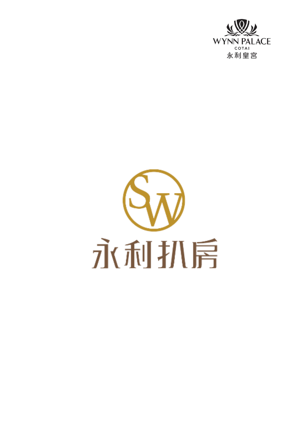

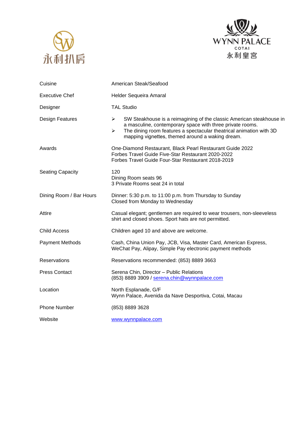



| Cuisine                 | American Steak/Seafood                                                                                                                                                                                                                                                                     |
|-------------------------|--------------------------------------------------------------------------------------------------------------------------------------------------------------------------------------------------------------------------------------------------------------------------------------------|
| <b>Executive Chef</b>   | Helder Sequeira Amaral                                                                                                                                                                                                                                                                     |
| Designer                | <b>TAL Studio</b>                                                                                                                                                                                                                                                                          |
| Design Features         | $\blacktriangleright$<br>SW Steakhouse is a reimagining of the classic American steakhouse in<br>a masculine, contemporary space with three private rooms.<br>The dining room features a spectacular theatrical animation with 3D<br>➤<br>mapping vignettes, themed around a waking dream. |
| Awards                  | One-Diamond Restaurant, Black Pearl Restaurant Guide 2022<br>Forbes Travel Guide Five-Star Restaurant 2020-2022<br>Forbes Travel Guide Four-Star Restaurant 2018-2019                                                                                                                      |
| <b>Seating Capacity</b> | 120<br>Dining Room seats 96<br>3 Private Rooms seat 24 in total                                                                                                                                                                                                                            |
| Dining Room / Bar Hours | Dinner: 5:30 p.m. to 11:00 p.m. from Thursday to Sunday<br>Closed from Monday to Wednesday                                                                                                                                                                                                 |
| Attire                  | Casual elegant; gentlemen are required to wear trousers, non-sleeveless<br>shirt and closed shoes. Sport hats are not permitted.                                                                                                                                                           |
| <b>Child Access</b>     | Children aged 10 and above are welcome.                                                                                                                                                                                                                                                    |
| <b>Payment Methods</b>  | Cash, China Union Pay, JCB, Visa, Master Card, American Express,<br>WeChat Pay, Alipay, Simple Pay electronic payment methods                                                                                                                                                              |
| Reservations            | Reservations recommended: (853) 8889 3663                                                                                                                                                                                                                                                  |
| <b>Press Contact</b>    | Serena Chin, Director - Public Relations<br>(853) 8889 3909 / serena.chin@wynnpalace.com                                                                                                                                                                                                   |
| Location                | North Esplanade, G/F<br>Wynn Palace, Avenida da Nave Desportiva, Cotai, Macau                                                                                                                                                                                                              |
| <b>Phone Number</b>     | (853) 8889 3628                                                                                                                                                                                                                                                                            |
| Website                 | www.wynnpalace.com                                                                                                                                                                                                                                                                         |